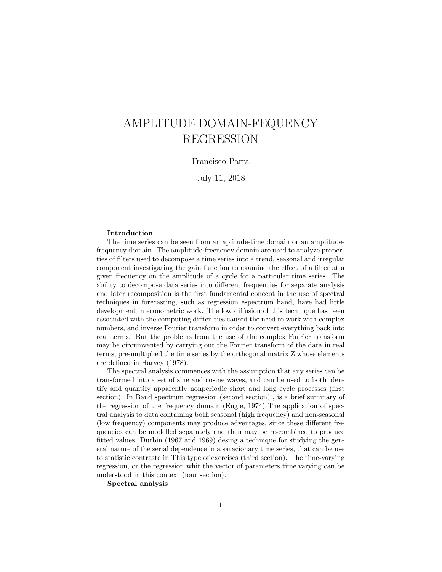# AMPLITUDE DOMAIN-FEQUENCY REGRESSION

#### Francisco Parra

July 11, 2018

#### Introduction

The time series can be seen from an aplitude-time domain or an amplitudefrequency domain. The amplitude-frecuency domain are used to analyze properties of filters used to decompose a time series into a trend, seasonal and irregular component investigating the gain function to examine the effect of a filter at a given frequency on the amplitude of a cycle for a particular time series. The ability to decompose data series into different frequencies for separate analysis and later recomposition is the first fundamental concept in the use of spectral techniques in forecasting, such as regression espectrum band, have had little development in econometric work. The low diffusion of this technique has been associated with the computing difficulties caused the need to work with complex numbers, and inverse Fourier transform in order to convert everything back into real terms. But the problems from the use of the complex Fourier transform may be circumvented by carrying out the Fourier transform of the data in real terms, pre-multiplied the time series by the orthogonal matrix Z whose elements are defined in Harvey (1978).

The spectral analysis commences with the assumption that any series can be transformed into a set of sine and cosine waves, and can be used to both identify and quantify apparently nonperiodic short and long cycle processes (first section). In Band spectrum regression (second section) , is a brief summary of the regression of the frequency domain (Engle, 1974) The application of spectral analysis to data containing both seasonal (high frequency) and non-seasonal (low frequency) components may produce adventages, since these different frequencies can be modelled separately and then may be re-combined to produce fitted values. Durbin (1967 and 1969) desing a technique for studying the general nature of the serial dependence in a satacionary time series, that can be use to statistic contraste in This type of exercises (third section). The time-varying regression, or the regression whit the vector of parameters time.varying can be understood in this context (four section).

Spectral analysis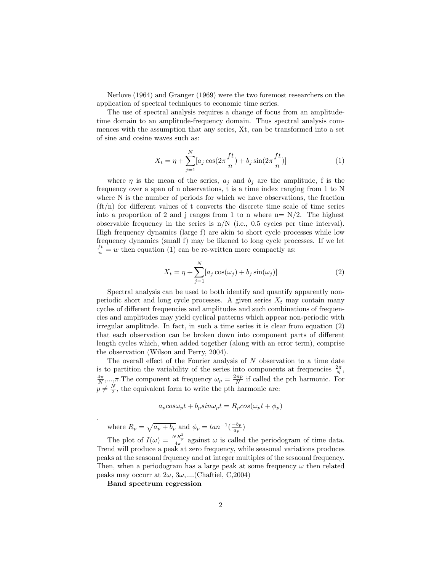Nerlove (1964) and Granger (1969) were the two foremost researchers on the application of spectral techniques to economic time series.

The use of spectral analysis requires a change of focus from an amplitudetime domain to an amplitude-frequency domain. Thus spectral analysis commences with the assumption that any series, Xt, can be transformed into a set of sine and cosine waves such as:

$$
X_t = \eta + \sum_{j=1}^{N} [a_j \cos(2\pi \frac{ft}{n}) + b_j \sin(2\pi \frac{ft}{n})]
$$
 (1)

where  $\eta$  is the mean of the series,  $a_i$  and  $b_i$  are the amplitude, f is the frequency over a span of n observations, t is a time index ranging from 1 to N where N is the number of periods for which we have observations, the fraction  $(f t/n)$  for different values of t converts the discrete time scale of time series into a proportion of 2 and j ranges from 1 to n where  $n = N/2$ . The highest observable frequency in the series is  $n/N$  (i.e., 0.5 cycles per time interval). High frequency dynamics (large f) are akin to short cycle processes while low frequency dynamics (small f) may be likened to long cycle processes. If we let  $\frac{ft}{n} = w$  then equation (1) can be re-written more compactly as:

$$
X_t = \eta + \sum_{j=1}^{N} [a_j \cos(\omega_j) + b_j \sin(\omega_j)] \tag{2}
$$

Spectral analysis can be used to both identify and quantify apparently nonperiodic short and long cycle processes. A given series  $X_t$  may contain many cycles of different frequencies and amplitudes and such combinations of frequencies and amplitudes may yield cyclical patterns which appear non-periodic with irregular amplitude. In fact, in such a time series it is clear from equation (2) that each observation can be broken down into component parts of different length cycles which, when added together (along with an error term), comprise the observation (Wilson and Perry, 2004).

The overall effect of the Fourier analysis of  $N$  observation to a time date is to partition the variability of the series into components at frequencies  $\frac{2\pi}{N}$ ,  $\frac{4\pi}{N}, \ldots, \pi$ . The component at frequency  $\omega_p = \frac{2\pi p}{N}$  if called the pth harmonic. For  $p \neq \frac{N}{2}$ , the equivalent form to write the pth harmonic are:

$$
a_p \cos \omega_p t + b_p \sin \omega_p t = R_p \cos (\omega_p t + \phi_p)
$$

where  $R_p = \sqrt{a_p + b_p}$  and  $\phi_p = \tan^{-1}(\frac{-b_p}{a_p})$  $\frac{-v_p}{a_p}$ 

The plot of  $I(\omega) = \frac{NR_p^2}{4\pi}$  against  $\omega$  is called the periodogram of time data. Trend will produce a peak at zero frequency, while seasonal variations produces peaks at the seasonal frquency and at integer multiples of the sesaonal frequency. Then, when a periodogram has a large peak at some frequency  $\omega$  then related peaks may occurr at  $2\omega$ ,  $3\omega$ ,....(Chaftiel, C,2004)

Band spectrum regression

.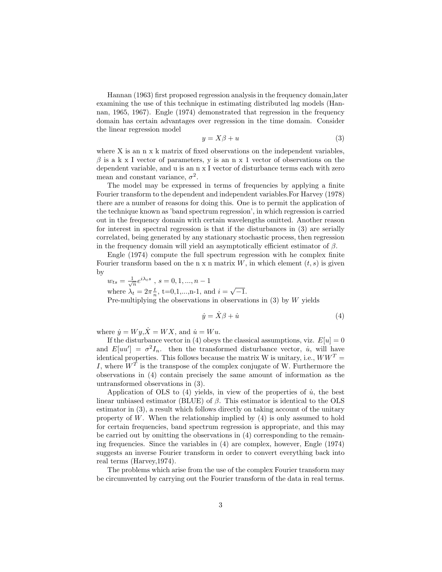Hannan (1963) first proposed regression analysis in the frequency domain,later examining the use of this technique in estimating distributed lag models (Hannan, 1965, 1967). Engle (1974) demonstrated that regression in the frequency domain has certain advantages over regression in the time domain. Consider the linear regression model

$$
y = X\beta + u \tag{3}
$$

where X is an n x k matrix of fixed observations on the independent variables,  $\beta$  is a k x I vector of parameters, y is an n x 1 vector of observations on the dependent variable, and u is an n x I vector of disturbance terms each with zero mean and constant variance,  $\sigma^2$ .

The model may be expressed in terms of frequencies by applying a finite Fourier transform to the dependent and independent variables.For Harvey (1978) there are a number of reasons for doing this. One is to permit the application of the technique known as 'band spectrum regression', in which regression is carried out in the frequency domain with certain wavelengths omitted. Another reason for interest in spectral regression is that if the disturbances in (3) are serially correlated, being generated by any stationary stochastic process, then regression in the frequency domain will yield an asymptotically efficient estimator of  $\beta$ .

Engle (1974) compute the full spectrum regression with he complex finite Fourier transform based on the n x n matrix  $W$ , in which element  $(t, s)$  is given by

$$
w_{ts} = \frac{1}{\sqrt{n}} e^{i\lambda_t s} \text{ , } s = 0, 1, ..., n-1
$$

where  $\lambda_t = 2\pi \frac{t}{n}$ , t=0,1,...,n-1, and  $i = \sqrt{-1}$ .

Pre-multiplying the observations in observations in  $(3)$  by W yields

$$
\dot{y} = \dot{X}\beta + \dot{u} \tag{4}
$$

where  $\dot{y} = Wy, \dot{X} = WX$ , and  $\dot{u} = Wu$ .

If the disturbance vector in (4) obeys the classical assumptions, viz.  $E[u] = 0$ and  $E[uu'] = \sigma^2 I_n$ , then the transformed disturbance vector,  $\dot{u}$ , will have identical properties. This follows because the matrix W is unitary, i.e.,  $WW<sup>T</sup>$  = I, where  $W<sup>T</sup>$  is the transpose of the complex conjugate of W. Furthermore the observations in (4) contain precisely the same amount of information as the untransformed observations in (3).

Application of OLS to  $(4)$  yields, in view of the properties of  $\dot{u}$ , the best linear unbiased estimator (BLUE) of  $\beta$ . This estimator is identical to the OLS estimator in (3), a result which follows directly on taking account of the unitary property of W. When the relationship implied by  $(4)$  is only assumed to hold for certain frequencies, band spectrum regression is appropriate, and this may be carried out by omitting the observations in (4) corresponding to the remaining frequencies. Since the variables in (4) are complex, however, Engle (1974) suggests an inverse Fourier transform in order to convert everything back into real terms (Harvey,1974).

The problems which arise from the use of the complex Fourier transform may be circumvented by carrying out the Fourier transform of the data in real terms.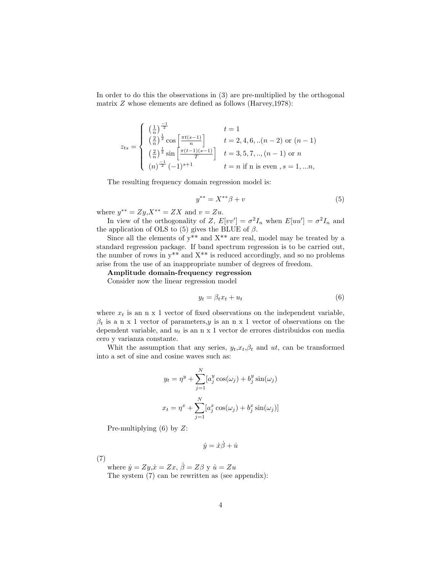In order to do this the observations in (3) are pre-multiplied by the orthogonal matrix  $Z$  whose elements are defined as follows (Harvey, 1978):

$$
z_{ts} = \begin{cases} \left(\frac{1}{n}\right)^{\frac{-1}{2}} & t = 1\\ \left(\frac{2}{n}\right)^{\frac{1}{2}} \cos\left[\frac{\pi t(s-1)}{n}\right] & t = 2, 4, 6, \ldots (n-2) \text{ or } (n-1) \\ \left(\frac{2}{n}\right)^{\frac{1}{2}} \sin\left[\frac{\pi (t-1)(s-1)}{T}\right] & t = 3, 5, 7, \ldots, (n-1) \text{ or } n \\ \left(n\right)^{\frac{-1}{2}} (-1)^{s+1} & t = n \text{ if n is even }, s = 1, \ldots n, \end{cases}
$$

The resulting frequency domain regression model is:

$$
y^{**} = X^{**}\beta + v
$$
 (5)

where  $y^{**} = Zy, X^{**} = ZX$  and  $v = Zu$ .

In view of the orthogonality of Z,  $E[vv'] = \sigma^2 I_n$  when  $E[uu'] = \sigma^2 I_n$  and the application of OLS to (5) gives the BLUE of  $\beta$ .

Since all the elements of  $y^{**}$  and  $X^{**}$  are real, model may be treated by a standard regression package. If band spectrum regression is to be carried out, the number of rows in  $y^{**}$  and  $X^{**}$  is reduced accordingly, and so no problems arise from the use of an inappropriate number of degrees of freedom.

Amplitude domain-frequency regression

Consider now the linear regression model

$$
y_t = \beta_t x_t + u_t \tag{6}
$$

where  $x_t$  is an n x 1 vector of fixed observations on the independent variable,  $\beta_t$  is a n x 1 vector of parameters, y is an n x 1 vector of observations on the dependent variable, and  $u_t$  is an n x 1 vector de errores distribuidos con media cero y varianza constante.

Whit the assumption that any series,  $y_t, x_t, \beta_t$  and ut, can be transformed into a set of sine and cosine waves such as:

$$
y_t = \eta^y + \sum_{j=1}^N [a_j^y \cos(\omega_j) + b_j^y \sin(\omega_j)
$$

$$
x_t = \eta^x + \sum_{j=1}^N [a_j^x \cos(\omega_j) + b_j^x \sin(\omega_j)]
$$

Pre-multiplying  $(6)$  by  $Z$ :

 $\dot{y} = \dot{x}\dot{\beta} + \dot{u}$ 

(7)

where  $\dot{y} = Zy, \dot{x} = Zx, \dot{\beta} = Z\beta$  y  $\dot{u} = Zu$ The system (7) can be rewritten as (see appendix):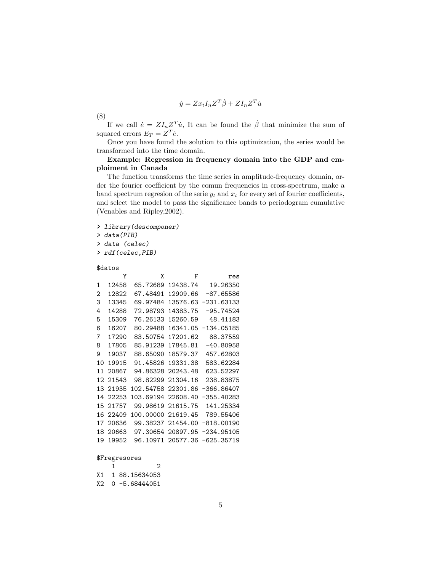$$
\dot{y} = Zx_t I_n Z^T \dot{\beta} + Z I_n Z^T \dot{u}
$$

(8)

If we call  $\dot{e} = Z I_n Z^T \dot{u}$ , It can be found the  $\dot{\beta}$  that minimize the sum of squared errors  $E_T = Z^T \dot{e}$ .

Once you have found the solution to this optimization, the series would be transformed into the time domain.

# Example: Regression in frequency domain into the GDP and emploiment in Canada

The function transforms the time series in amplitude-frequency domain, order the fourier coefficient by the comun frequencies in cross-spectrum, make a band spectrum regresion of the serie  $y_t$  and  $x_t$  for every set of fourier coefficients, and select the model to pass the significance bands to periodogram cumulative (Venables and Ripley,2002).

> library(descomponer)

> data(PIB)

> data (celec)

> rdf(celec,PIB)

\$datos

|    | Y     | Χ                  | F                 | res          |
|----|-------|--------------------|-------------------|--------------|
| 1  | 12458 | 65.72689           | 12438.74          | 19.26350     |
| 2  | 12822 | 67.48491           | 12909.66          | $-87.65586$  |
| 3  | 13345 | 69.97484           | 13576.63          | -231.63133   |
| 4  | 14288 | 72.98793           | 14383.75          | $-95.74524$  |
| 5  | 15309 | 76.26133           | 15260.59          | 48.41183     |
| 6  | 16207 | 80.29488           | 16341.05          | -134.05185   |
| 7  | 17290 | 83.50754           | 17201.62          | 88.37559     |
| 8  | 17805 | 85.91239           | 17845.81          | $-40.80958$  |
| 9  | 19037 | 88.65090           | 18579.37          | 457.62803    |
| 10 | 19915 | 91.45826           | 19331.38          | 583.62284    |
| 11 | 20867 | 94.86328           | 20243.48          | 623.52297    |
| 12 | 21543 | 98.82299           | 21304.16          | 238.83875    |
| 13 | 21935 | 102.54758          | 22301.86          | -366.86407   |
| 14 | 22253 | 103.69194 22608.40 |                   | -355.40283   |
| 15 | 21757 | 99.98619 21615.75  |                   | 141.25334    |
| 16 | 22409 | 100.00000 21619.45 |                   | 789.55406    |
| 17 | 20636 | 99.38237 21454.00  |                   | $-818.00190$ |
| 18 | 20663 | 97.30654           | 20897.95          | $-234.95105$ |
| 19 | 19952 |                    | 96.10971 20577.36 | $-625.35719$ |

#### \$Fregresores

|  | 2                |
|--|------------------|
|  | X1 1 88.15634053 |
|  | X2 0-5.68444051  |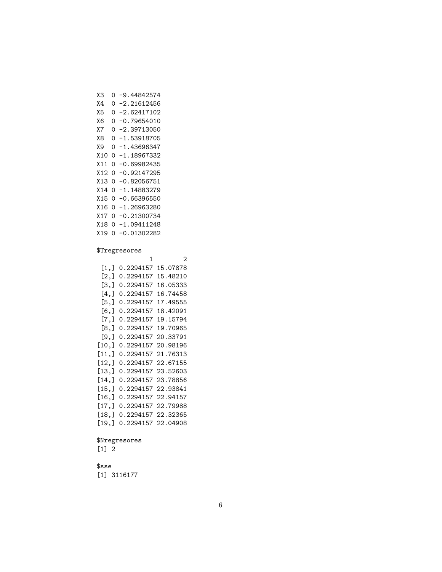| XЗ    | ი | -9.44842574     |
|-------|---|-----------------|
| Χ4    | 0 | -2.21612456     |
| Х5    | 0 | -2.62417102     |
| Х6    | 0 | -0.79654010     |
| Χ7    | ი | -2.39713050     |
| Х8    | 0 | -1.53918705     |
| Х9    | 0 | -1.43696347     |
| X10   | 0 | -1<br>.18967332 |
| X 11  | 0 | 0.69982435      |
| X12   | 0 | -0.92147295     |
| X13   | 0 | -0.82056751     |
| X 1 4 | 0 | .14883279<br>-1 |
| X15   | 0 | -0.66396550     |
| X16   | 0 | 1.26963280      |
| X17   | 0 | 0.21300734      |
| X18   | 0 | -1.09411248     |
| X19   | ი | 0.01302282      |
|       |   |                 |

### \$Tregresores

1 2 [1,] 0.2294157 15.07878 [2,] 0.2294157 15.48210 [3,] 0.2294157 16.05333 [4,] 0.2294157 16.74458 [5,] 0.2294157 17.49555 [6,] 0.2294157 18.42091 [7,] 0.2294157 19.15794 [8,] 0.2294157 19.70965 [9,] 0.2294157 20.33791 [10,] 0.2294157 20.98196 [11,] 0.2294157 21.76313 [12,] 0.2294157 22.67155 [13,] 0.2294157 23.52603 [14,] 0.2294157 23.78856 [15,] 0.2294157 22.93841 [16,] 0.2294157 22.94157 [17,] 0.2294157 22.79988 [18,] 0.2294157 22.32365 [19,] 0.2294157 22.04908

# \$Nregresores  $\begin{bmatrix} 1 \end{bmatrix}$  2

\$sse [1] 3116177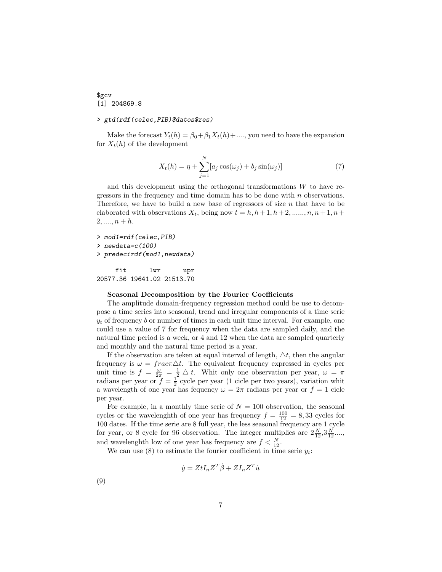# \$gcv [1] 204869.8

#### > gtd(rdf(celec,PIB)\$datos\$res)

Make the forecast  $Y_t(h) = \beta_0 + \beta_1 X_t(h) + \dots$ , you need to have the expansion for  $X_t(h)$  of the development

$$
X_t(h) = \eta + \sum_{j=1}^{N} [a_j \cos(\omega_j) + b_j \sin(\omega_j)] \tag{7}
$$

and this development using the orthogonal transformations  $W$  to have regressors in the frequency and time domain has to be done with  $n$  observations. Therefore, we have to build a new base of regressors of size  $n$  that have to be elaborated with observations  $X_t$ , being now  $t = h, h+1, h+2, \ldots, n, n+1, n+1$  $2, \ldots, n+h.$ 

```
> mod1=rdf(celec,PIB)
> newdata=c(100)
> predecirdf(mod1,newdata)
```
fit lwr upr 20577.36 19641.02 21513.70

#### Seasonal Decomposition by the Fourier Coefficients

The amplitude domain-frequency regression method could be use to decompose a time series into seasonal, trend and irregular components of a time serie  $y_t$  of frequency b or number of times in each unit time interval. For example, one could use a value of 7 for frequency when the data are sampled daily, and the natural time period is a week, or 4 and 12 when the data are sampled quarterly and monthly and the natural time period is a year.

If the observation are teken at equal interval of length,  $\Delta t$ , then the angular frequency is  $\omega = \frac{f}{\tau}$ . The equivalent frequency expressed in cycles per unit time is  $f = \frac{\omega}{2\pi} = \frac{1}{2} \Delta t$ . Whit only one observation per year,  $\omega = \pi$ radians per year or  $f = \frac{1}{2}$  cycle per year (1 cicle per two years), variation whit a wavelength of one year has fequency  $\omega = 2\pi$  radians per year or  $f = 1$  cicle per year.

For example, in a monthly time serie of  $N = 100$  observation, the seasonal cycles or the wavelenghth of one year has frequency  $f = \frac{100}{12} = 8,33$  cycles for 100 dates. If the time serie are 8 full year, the less seasonal frequency are 1 cycle for year, or 8 cycle for 96 observation. The integer multiplies are  $2\frac{N}{12},3\frac{N}{12}...$ and wavelenghth low of one year has frequency are  $f < \frac{N}{12}$ .

We can use (8) to estimate the fourier coefficient in time serie  $y_t$ :

$$
\dot{y} = ZtI_nZ^T\dot{\beta} + ZI_nZ^T\dot{u}
$$

(9)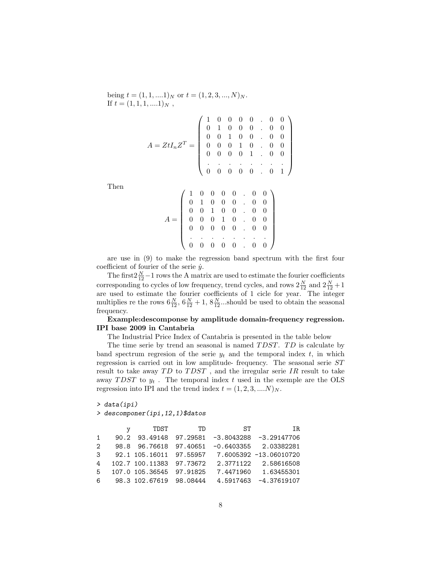being  $t = (1, 1, \ldots, 1)_N$  or  $t = (1, 2, 3, \ldots, N)_N$ . If  $t = (1, 1, 1, \ldots, 1)_N$ ,

$$
A = ZtI_nZ^T = \left(\begin{array}{cccccc} 1 & 0 & 0 & 0 & 0 & . & 0 & 0 \\ 0 & 1 & 0 & 0 & 0 & . & 0 & 0 \\ 0 & 0 & 1 & 0 & 0 & . & 0 & 0 \\ 0 & 0 & 0 & 1 & 0 & . & 0 & 0 \\ 0 & 0 & 0 & 0 & 1 & . & 0 & 0 \\ . & . & . & . & . & . & . & . \\ 0 & 0 & 0 & 0 & 0 & . & 0 & 1 \end{array}\right)
$$

Then

$$
A = \left(\begin{array}{cccccc} 1 & 0 & 0 & 0 & 0 & . & 0 & 0 \\ 0 & 1 & 0 & 0 & 0 & . & 0 & 0 \\ 0 & 0 & 1 & 0 & 0 & . & 0 & 0 \\ 0 & 0 & 0 & 1 & 0 & . & 0 & 0 \\ 0 & 0 & 0 & 0 & 0 & . & 0 & 0 \\ . & . & . & . & . & . & . & . \\ 0 & 0 & 0 & 0 & 0 & . & 0 & 0 \end{array}\right)
$$

are use in (9) to make the regression band spectrum with the first four coefficient of fourier of the serie  $\dot{y}$ .

The first  $2\frac{N}{12}-1$  rows the A matrix are used to estimate the fourier coefficients corresponding to cycles of low frequency, trend cycles, and rows  $2\frac{N}{12}$  and  $2\frac{N}{12} + 1$ are used to estimate the fourier coefficients of 1 cicle for year. The integer multiplies re the rows  $6\frac{N}{12}$ ,  $6\frac{N}{12}+1$ ,  $8\frac{N}{12}$ ...should be used to obtain the seasonal frequency.

# Example:descomponse by amplitude domain-frequency regression. IPI base 2009 in Cantabria

The Industrial Price Index of Cantabria is presented in the table below

The time serie by trend an seasonal is named  $T DST$ .  $TD$  is calculate by band spectrum regresion of the serie  $y_t$  and the temporal index t, in which regression is carried out in low amplitude- frequency. The seasonal serie ST result to take away  $TD$  to  $TDST$ , and the irregular serie IR result to take away TDST to  $y_t$ . The temporal index t used in the exemple are the OLS regression into IPI and the trend index  $t = (1, 2, 3, \dots N)_N$ .

> data(ipi)

> descomponer(ipi,12,1)\$datos

|                | TDST                     | TD. | ST.                               | IR.                                            |
|----------------|--------------------------|-----|-----------------------------------|------------------------------------------------|
| $\mathbf{1}$   |                          |     | 90.2 93.49148 97.29581 -3.8043288 | -3.29147706                                    |
| $\mathcal{P}$  |                          |     |                                   | 98.8 96.76618 97.40651 -0.6403355 2.03382281   |
| 3              |                          |     |                                   | 92.1 105.16011 97.55957 7.6005392 -13.06010720 |
| $\overline{a}$ | 102.7 100.11383 97.73672 |     |                                   | 2.3771122 2.58616508                           |
| -5             | 107.0 105.36545 97.91825 |     | 7.4471960                         | 1.63455301                                     |
| -6             | 98.3 102.67619 98.08444  |     | 4.5917463                         | -4.37619107                                    |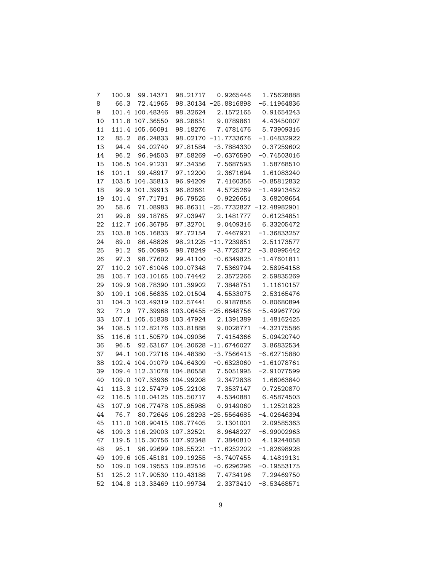| 7  | 100.9 | 99.14371                             | 98.21717              | 0.9265446    | 1.75628888     |
|----|-------|--------------------------------------|-----------------------|--------------|----------------|
| 8  | 66.3  | 72.41965                             | 98.30134 -25.8816898  |              | $-6.11964836$  |
| 9  | 101.4 | 100.48346                            | 98.32624              | 2.1572165    | 0.91654243     |
| 10 | 111.8 | 107.36550                            | 98.28651              | 9.0789861    | 4.43450007     |
| 11 | 111.4 | 105.66091                            | 98.18276              | 7.4781476    | 5.73909316     |
| 12 | 85.2  | 86.24833                             | 98.02170 -11.7733676  |              | $-1.04832922$  |
| 13 | 94.4  | 94.02740                             | 97.81584              | $-3.7884330$ | 0.37259602     |
| 14 | 96.2  | 96.94503                             | 97.58269              | $-0.6376590$ | $-0.74503016$  |
| 15 | 106.5 | 104.91231                            | 97.34356              | 7.5687593    | 1.58768510     |
| 16 | 101.1 | 99.48917                             | 97.12200              | 2.3671694    | 1.61083240     |
| 17 | 103.5 | 104.35813                            | 96.94209              | 7.4160356    | $-0.85812832$  |
| 18 | 99.9  | 101.39913                            | 96.82661              | 4.5725269    | $-1.49913452$  |
| 19 | 101.4 | 97.71791                             | 96.79525              | 0.9226651    | 3.68208654     |
| 20 | 58.6  | 71.08983                             | 96.86311 -25.7732827  |              | $-12.48982901$ |
| 21 | 99.8  | 99.18765                             | 97.03947              | 2.1481777    | 0.61234851     |
| 22 | 112.7 | 106.36795                            | 97.32701              | 9.0409316    | 6.33205472     |
| 23 | 103.8 | 105.16833                            | 97.72154              | 7.4467921    | $-1.36833257$  |
| 24 | 89.0  | 86.48826                             | 98.21225 -11.7239851  |              | 2.51173577     |
| 25 | 91.2  | 95.00995                             | 98.78249              | $-3.7725372$ | $-3.80995442$  |
| 26 | 97.3  | 98.77602                             | 99.41100              | $-0.6349825$ | $-1.47601811$  |
| 27 | 110.2 | 107.61046                            | 100.07348             | 7.5369794    | 2.58954158     |
| 28 | 105.7 | 103.10165                            | 100.74442             | 2.3572266    | 2.59835269     |
| 29 | 109.9 | 108.78390                            | 101.39902             | 7.3848751    | 1.11610157     |
| 30 | 109.1 | 106.56835                            | 102.01504             | 4.5533075    | 2.53165476     |
| 31 | 104.3 | 103.49319                            | 102.57441             | 0.9187856    | 0.80680894     |
| 32 | 71.9  | 77.39968                             | 103.06455 -25.6648756 |              | $-5.49967709$  |
| 33 | 107.1 | 105.61838                            | 103.47924             | 2.1391389    | 1.48162425     |
| 34 | 108.5 | 112.82176                            | 103.81888             | 9.0028771    | $-4.32175586$  |
| 35 | 116.6 | 111.50579                            | 104.09036             | 7.4154366    | 5.09420740     |
| 36 | 96.5  | 92.63167                             | 104.30628 -11.6746027 |              | 3.86832534     |
| 37 | 94.1  | 100.72716                            | 104.48380             | $-3.7566413$ | $-6.62715880$  |
| 38 |       | 102.4 104.01079                      | 104.64309             | $-0.6323060$ | $-1.61078761$  |
| 39 |       | 109.4 112.31078                      | 104.80558             | 7.5051995    | $-2.91077599$  |
| 40 | 109.0 | 107.33936                            | 104.99208             | 2.3472838    | 1.66063840     |
| 41 |       | 113.3 112.57479                      | 105.22108             | 7.3537147    | 0.72520870     |
| 42 |       | 116.5 110.04125                      | 105.50717             | 4.5340881    | 6.45874503     |
| 43 |       | 107.9 106.77478                      | 105.85988             | 0.9149060    | 1.12521823     |
| 44 |       | 76.7 80.72646 106.28293              |                       | -25.5564685  | 4.02646394     |
| 45 |       | 111.0 108.90415 106.77405 2.1301001  |                       |              | 2.09585363     |
| 46 |       | 109.3 116.29003 107.32521 8.9648227  |                       |              | $-6.99002963$  |
| 47 |       | 119.5 115.30756 107.92348 7.3840810  |                       |              | 4.19244058     |
| 48 |       | 95.1 96.92699 108.55221 -11.6252202  |                       |              | $-1.82698928$  |
| 49 |       | 109.6 105.45181 109.19255 -3.7407455 |                       |              | 4.14819131     |
| 50 |       | 109.0 109.19553 109.82516 -0.6296296 |                       |              | $-0.19553175$  |
| 51 |       | 125.2 117.90530 110.43188 7.4734196  |                       |              | 7.29469750     |
| 52 |       | 104.8 113.33469 110.99734 2.3373410  |                       |              | $-8.53468571$  |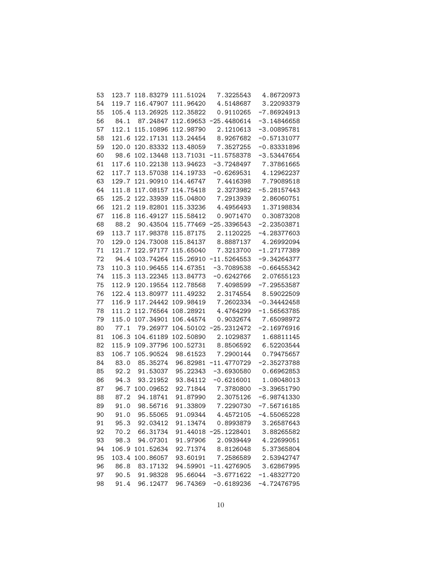| 53 | 123.7 |                 | 118.83279 111.51024 | 7.3225543             | 4.86720973    |
|----|-------|-----------------|---------------------|-----------------------|---------------|
| 54 | 119.7 | 116.47907       | 111.96420           | 4.5148687             | 3.22093379    |
| 55 | 105.4 | 113.26925       | 112.35822           | 0.9110265             | $-7.86924913$ |
| 56 | 84.1  | 87.24847        |                     | 112.69653 -25.4480614 | $-3.14846658$ |
| 57 | 112.1 | 115.10896       | 112.98790           | 2.1210613             | $-3.00895781$ |
| 58 | 121.6 | 122.17131       | 113.24454           | 8.9267682             | $-0.57131077$ |
| 59 | 120.0 | 120.83332       | 113.48059           | 7.3527255             | $-0.83331896$ |
| 60 | 98.6  | 102.13448       |                     | 113.71031 -11.5758378 | $-3.53447654$ |
| 61 | 117.6 | 110.22138       | 113.94623           | $-3.7248497$          | 7.37861665    |
| 62 | 117.7 | 113.57038       | 114.19733           | $-0.6269531$          | 4.12962237    |
| 63 | 129.7 | 121.90910       | 114.46747           | 7.4416398             | 7.79089518    |
| 64 | 111.8 | 117.08157       | 114.75418           | 2.3273982             | $-5.28157443$ |
| 65 |       | 125.2 122.33939 | 115.04800           | 7.2913939             | 2.86060751    |
| 66 |       | 121.2 119.82801 | 115.33236           | 4.4956493             | 1.37198834    |
| 67 | 116.8 | 116.49127       | 115.58412           | 0.9071470             | 0.30873208    |
| 68 | 88.2  | 90.43504        |                     | 115.77469 -25.3396543 | $-2.23503871$ |
| 69 | 113.7 | 117.98378       | 115.87175           | 2.1120225             | $-4.28377603$ |
| 70 | 129.0 | 124.73008       | 115.84137           | 8.8887137             | 4.26992094    |
| 71 | 121.7 | 122.97177       | 115.65040           | 7.3213700             | $-1.27177389$ |
| 72 | 94.4  | 103.74264       |                     | 115.26910 -11.5264553 | $-9.34264377$ |
| 73 |       | 110.3 110.96455 | 114.67351           | $-3.7089538$          | $-0.66455342$ |
| 74 | 115.3 | 113.22345       | 113.84773           | $-0.6242766$          | 2.07655123    |
| 75 | 112.9 | 120.19554       | 112.78568           | 7.4098599             | $-7.29553587$ |
| 76 |       | 122.4 113.80977 | 111.49232           | 2.3174554             | 8.59022509    |
| 77 | 116.9 | 117.24442       | 109.98419           | 7.2602334             | $-0.34442458$ |
| 78 | 111.2 | 112.76564       | 108.28921           | 4.4764299             | $-1.56563785$ |
| 79 | 115.0 | 107.34901       | 106.44574           | 0.9032674             | 7.65098972    |
| 80 | 77.1  | 79.26977        |                     | 104.50102 -25.2312472 | $-2.16976916$ |
| 81 | 106.3 | 104.61189       | 102.50890           | 2.1029837             | 1.68811145    |
| 82 | 115.9 | 109.37796       | 100.52731           | 8.8506592             | 6.52203544    |
| 83 | 106.7 | 105.90524       | 98.61523            | 7.2900144             | 0.79475657    |
| 84 | 83.0  | 85.35274        |                     | 96.82981 -11.4770729  | $-2.35273788$ |
| 85 | 92.2  | 91.53037        | 95.22343            | $-3.6930580$          | 0.66962853    |
| 86 | 94.3  | 93.21952        | 93.84112            | $-0.6216001$          | 1.08048013    |
| 87 | 96.7  | 100.09652       | 92.71844            | 7.3780800             | $-3.39651790$ |
| 88 | 87.2  | 94.18741        | 91.87990            | 2.3075126             | $-6.98741330$ |
| 89 | 91.0  | 98.56716        | 91.33809            | 7.2290730             | $-7.56716185$ |
| 90 | 91.0  | 95.55065        | 91.09344            | 4.4572105             | $-4.55065228$ |
| 91 |       | 95.3 92.03412   | 91.13474            | 0.8993879             | 3.26587643    |
| 92 |       | 70.2 66.31734   |                     | 91.44018 -25.1228401  | 3.88265582    |
| 93 |       | 98.3 94.07301   | 91.97906            | 2.0939449             | 4.22699051    |
| 94 |       | 106.9 101.52634 |                     | 92.71374 8.8126048    | 5.37365804    |
| 95 |       | 103.4 100.86057 | 93.60191            | 7.2586589             | 2.53942747    |
| 96 | 86.8  | 83.17132        |                     | 94.59901 -11.4276905  | 3.62867995    |
| 97 |       | 90.5 91.98328   |                     | 95.66044 -3.6771622   | $-1.48327720$ |
| 98 |       | 91.4 96.12477   |                     |                       | $-4.72476795$ |
|    |       |                 | 96.74369            | $-0.6189236$          |               |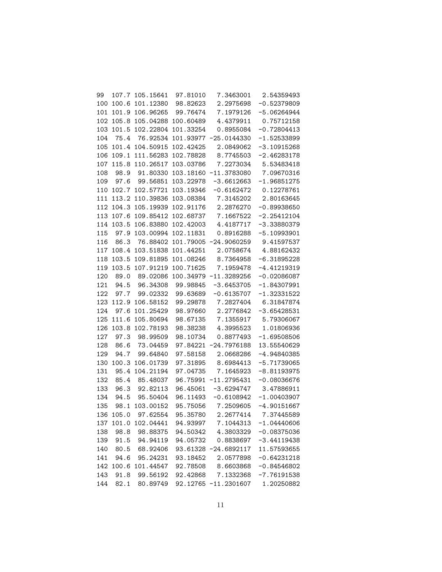| 99  |       | 107.7 105.15641    | 97.81010  | 7.3463001                              | 2.54359493                                         |
|-----|-------|--------------------|-----------|----------------------------------------|----------------------------------------------------|
| 100 | 100.6 | 101.12380          | 98.82623  | 2.2975698                              | $-0.52379809$                                      |
| 101 | 101.9 | 106.96265          | 99.76474  | 7.1979126                              | $-5.06264944$                                      |
| 102 | 105.8 | 105.04288          | 100.60489 | 4.4379911                              | 0.75712158                                         |
| 103 | 101.5 | 102.22804          | 101.33254 | 0.8955084                              | $-0.72804413$                                      |
| 104 | 75.4  | 76.92534           |           | 101.93977 -25.0144330                  | $-1.52533899$                                      |
| 105 | 101.4 | 104.50915          | 102.42425 | 2.0849062                              | $-3.10915268$                                      |
| 106 | 109.1 | 111.56283          | 102.78828 | 8.7745503                              | $-2.46283178$                                      |
| 107 | 115.8 | 110.26517          | 103.03786 | 7.2273034                              | 5.53483418                                         |
| 108 | 98.9  | 91.80330           |           | 103.18160 -11.3783080                  | 7.09670316                                         |
| 109 | 97.6  | 99.56851           | 103.22978 | $-3.6612663$                           | $-1.96851275$                                      |
| 110 | 102.7 | 102.57721          | 103.19346 | $-0.6162472$                           | 0.12278761                                         |
| 111 | 113.2 | 110.39836          | 103.08384 | 7.3145202                              | 2.80163645                                         |
| 112 | 104.3 | 105.19939          | 102.91176 | 2.2876270                              | $-0.89938650$                                      |
| 113 | 107.6 | 109.85412          | 102.68737 | 7.1667522                              | $-2.25412104$                                      |
| 114 | 103.5 | 106.83880          | 102.42003 | 4.4187717                              | $-3.33880379$                                      |
| 115 | 97.9  | 103.00994          | 102.11831 | 0.8916288                              | $-5.10993901$                                      |
| 116 | 86.3  | 76.88402           |           | 101.79005 -24.9060259                  | 9.41597537                                         |
| 117 | 108.4 | 103.51838          | 101.44251 | 2.0758674                              | 4.88162432                                         |
| 118 | 103.5 | 109.81895          | 101.08246 | 8.7364958                              | $-6.31895228$                                      |
| 119 | 103.5 | 107.91219          | 100.71625 | 7.1959478                              | $-4.41219319$                                      |
| 120 | 89.0  | 89.02086           |           | 100.34979 -11.3289256                  | $-0.02086087$                                      |
| 121 | 94.5  | 96.34308           | 99.98845  | $-3.6453705$                           | $-1.84307991$                                      |
| 122 | 97.7  | 99.02332           | 99.63689  | $-0.6135707$                           | $-1.32331522$                                      |
| 123 | 112.9 | 106.58152          | 99.29878  | 7.2827404                              | 6.31847874                                         |
| 124 | 97.6  | 101.25429          | 98.97660  | 2.2776842                              | $-3.65428531$                                      |
| 125 | 111.6 | 105.80694          | 98.67135  | 7.1355917                              | 5.79306067                                         |
| 126 | 103.8 | 102.78193          | 98.38238  | 4.3995523                              | 1.01806936                                         |
| 127 | 97.3  | 98.99509           | 98.10734  | 0.8877493                              | $-1.69508506$                                      |
| 128 | 86.6  | 73.04459           | 97.84221  | $-24.7976188$                          | 13.55540629                                        |
| 129 | 94.7  | 99.64840           | 97.58158  | 2.0668286                              | $-4.94840385$                                      |
| 130 | 100.3 | 106.01739          | 97.31895  | 8.6984413                              | $-5.71739065$                                      |
| 131 | 95.4  | 104.21194          | 97.04735  | 7.1645923                              | $-8.81193975$                                      |
| 132 | 85.4  | 85.48037           | 96.75991  | $-11.2795431$                          | $-0.08036676$                                      |
| 133 | 96.3  | 92.82113           | 96.45061  | $-3.6294747$                           | 3.47886911                                         |
| 134 | 94.5  | 95.50404           | 96.11493  | $-0.6108942$                           | $-1.00403907$                                      |
| 135 | 98.1  | 103.00152          | 95.75056  | 7.2509605                              | $-4.90151667$                                      |
|     |       | 136 105.0 97.62554 | 95.35780  | 2.2677414                              | 7.37445589                                         |
|     |       |                    |           |                                        | 137 101.0 102.04441 94.93997 7.1044313 -1.04440606 |
| 138 |       |                    |           | 98.8 98.88375 94.50342 4.3803329       | $-0.08375036$                                      |
|     |       |                    |           | 139 91.5 94.94119 94.05732 0.8838697   | $-3.44119438$                                      |
|     |       |                    |           | 140 80.5 68.92406 93.61328 -24.6892117 | 11.57593655                                        |
| 141 |       |                    |           | 94.6 95.24231 93.18452 2.0577898       | $-0.64231218$                                      |
|     |       |                    |           | 142 100.6 101.44547 92.78508 8.6603868 | $-0.84546802$                                      |
| 143 |       |                    |           |                                        | 91.8 99.56192 92.42868 7.1332368 -7.76191538       |
|     |       |                    |           | 144 82.1 80.89749 92.12765 -11.2301607 | 1.20250882                                         |
|     |       |                    |           |                                        |                                                    |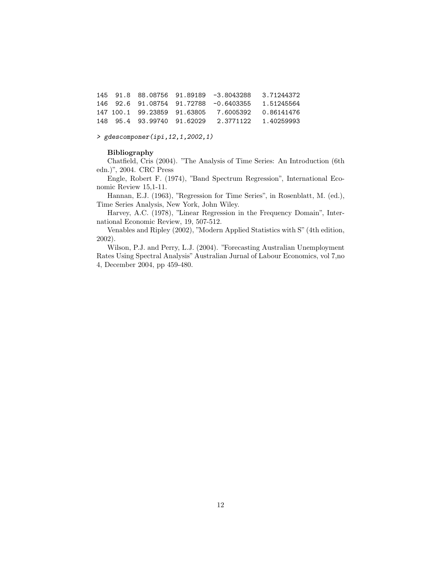145 91.8 88.08756 91.89189 -3.8043288 3.71244372 146 92.6 91.08754 91.72788 -0.6403355 1.51245564 147 100.1 99.23859 91.63805 7.6005392 0.86141476 148 95.4 93.99740 91.62029 2.3771122 1.40259993

> gdescomponer(ipi,12,1,2002,1)

#### Bibliography

Chatfield, Cris (2004). "The Analysis of Time Series: An Introduction (6th edn.)", 2004. CRC Press

Engle, Robert F. (1974), "Band Spectrum Regression", International Economic Review 15,1-11.

Hannan, E.J. (1963), "Regression for Time Series", in Rosenblatt, M. (ed.), Time Series Analysis, New York, John Wiley.

Harvey, A.C. (1978), "Linear Regression in the Frequency Domain", International Economic Review, 19, 507-512.

Venables and Ripley (2002), "Modern Applied Statistics with S" (4th edition, 2002).

Wilson, P.J. and Perry, L.J. (2004). "Forecasting Australian Unemployment Rates Using Spectral Analysis" Australian Jurnal of Labour Economics, vol 7,no 4, December 2004, pp 459-480.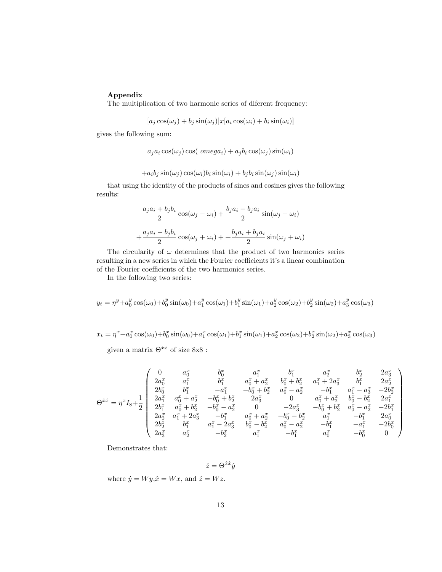# Appendix

The multiplication of two harmonic series of diferent frequency:

$$
[a_j \cos(\omega_j) + b_j \sin(\omega_j)]x[a_i \cos(\omega_i) + b_i \sin(\omega_i)]
$$

gives the following sum:

$$
a_j a_i \cos(\omega_j) \cos(\omega nega_i) + a_j b_i \cos(\omega_j) \sin(\omega_i)
$$

$$
+a_i b_j \sin(\omega_j) \cos(\omega_i) b_i \sin(\omega_i) + b_j b_i \sin(\omega_j) \sin(\omega_i)
$$

that using the identity of the products of sines and cosines gives the following results:

$$
\frac{a_j a_i + b_j b_i}{2} \cos(\omega_j - \omega_i) + \frac{b_j a_i - b_j a_i}{2} \sin(\omega_j - \omega_i)
$$

$$
+ \frac{a_j a_i - b_j b_i}{2} \cos(\omega_j + \omega_i) + \frac{b_j a_i + b_j a_i}{2} \sin(\omega_j + \omega_i)
$$

The circularity of  $\omega$  determines that the product of two harmonics series resulting in a new series in which the Fourier coefficients it's a linear combination of the Fourier coefficients of the two harmonics series.

In the following two series:

$$
y_t = \eta^y + a_0^y \cos(\omega_0) + b_0^y \sin(\omega_0) + a_1^y \cos(\omega_1) + b_1^y \sin(\omega_1) + a_2^y \cos(\omega_2) + b_2^y \sin(\omega_2) + a_3^y \cos(\omega_3)
$$

 $x_t = \eta^x + a_0^x \cos(\omega_0) + b_0^x \sin(\omega_0) + a_1^x \cos(\omega_1) + b_1^x \sin(\omega_1) + a_2^x \cos(\omega_2) + b_2^x \sin(\omega_2) + a_3^x \cos(\omega_3)$ 

given a matrix  $\Theta^{\dot{x}\dot{x}}$  of size  $8x8$ :

$$
\Theta^{\dot{x}\dot{x}}=\eta^xI_8+\frac{1}{2}\left(\begin{array}{ccccccccc} 0&a_0^x&b_0^x&a_1^x&b_1^x&a_2^x&b_2^x&2a_3^x\\ 2a_0^x&a_1^x&b_1^x&a_0^x+a_2^x&b_0^x+b_2^x&a_1^x+2a_3^x&b_1^x&2a_2^x\\ 2b_0^x&b_1^x&-a_1^x&-b_0^x+b_2^x&a_0^x-a_2^x&-b_1^x&a_1^x-a_3^x&-2b_2^x\\ 2a_1^x&a_0^x+a_2^x&-b_0^x+b_2^x&2a_3^x&0&a_0^x+a_2^x&b_0^x-b_2^x&2a_1^x\\ 2b_1^x&a_0^x+b_2^x&-b_0^x-a_2^x&0&-2a_3^x&-b_0^x+b_2^x&a_0^x-a_2^x&-2b_1^x\\ 2a_2^x&a_1^x+2a_3^x&-b_1^x&a_0^x+a_2^x&-b_0^x-b_2^x&a_1^x&-b_1^x&2a_0^x\\ 2b_2^x&b_1^x&a_1^x-2a_3^x&b_0^x-b_2^x&a_0^x-a_2^x&-b_1^x&-a_1^x&-2b_0^x\\ 2a_3^x&a_2^x&-b_2^x&a_1^x&-b_1^x&a_0^x&-b_1^x&a_0^x&-b_0^x&0\end{array}\right)
$$

Demonstrates that:

$$
\dot{z} = \Theta^{\dot{x}\dot{x}}\dot{y}
$$

where  $\dot{y} = Wy, \dot{x} = Wx$ , and  $\dot{z} = Wz$ .